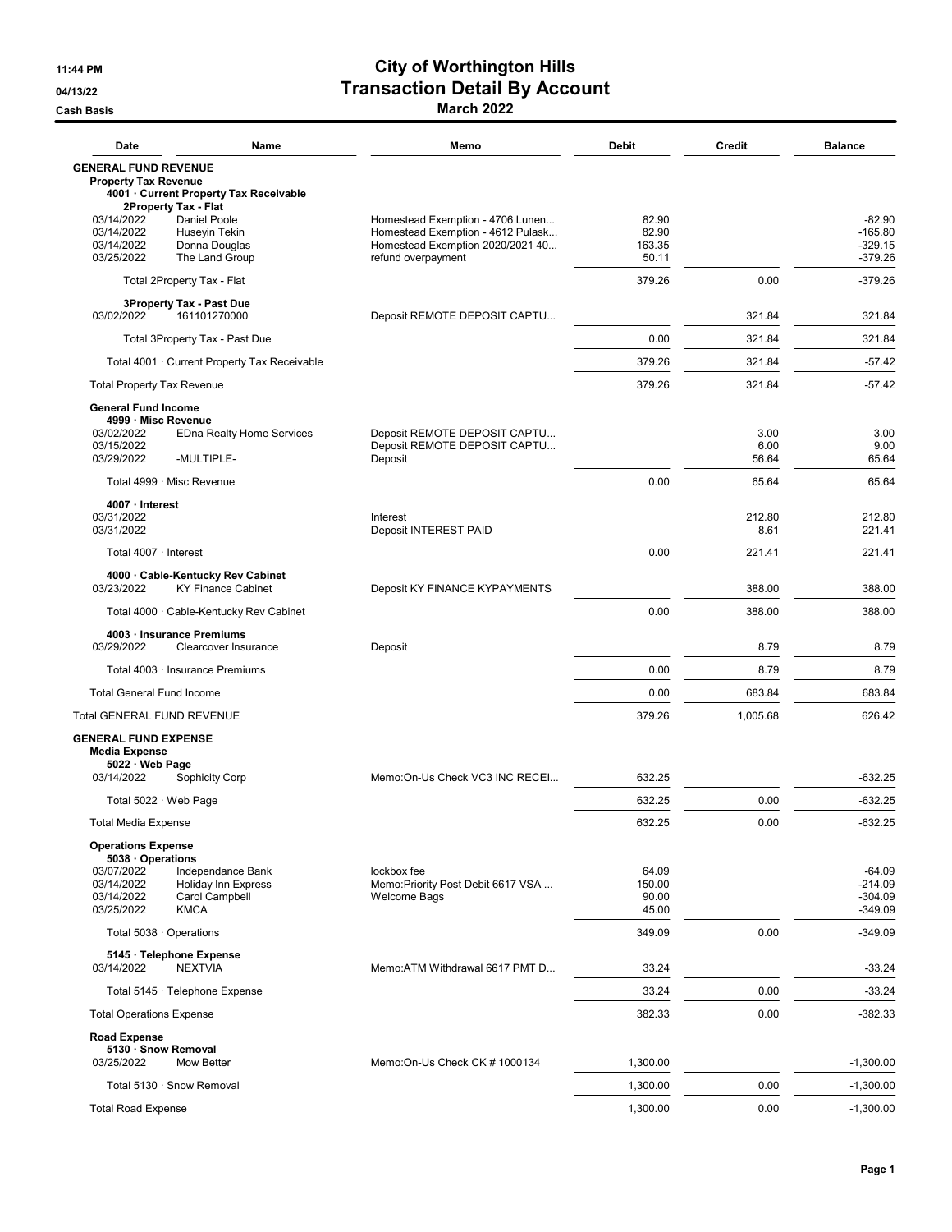## 11:44 PM City of Worthington Hills 04/13/22 Outlies and Detail By Account Cash Basis March 2022

| Date                                                                                                                | Name                                                              | Memo                                                                                                      | <b>Debit</b>                      | <b>Credit</b>         | <b>Balance</b>                                  |
|---------------------------------------------------------------------------------------------------------------------|-------------------------------------------------------------------|-----------------------------------------------------------------------------------------------------------|-----------------------------------|-----------------------|-------------------------------------------------|
| <b>GENERAL FUND REVENUE</b><br><b>Property Tax Revenue</b>                                                          | 4001 · Current Property Tax Receivable                            |                                                                                                           |                                   |                       |                                                 |
| 2Property Tax - Flat<br>03/14/2022<br>03/14/2022<br>03/14/2022                                                      | Daniel Poole<br><b>Husevin Tekin</b><br>Donna Douglas             | Homestead Exemption - 4706 Lunen<br>Homestead Exemption - 4612 Pulask<br>Homestead Exemption 2020/2021 40 | 82.90<br>82.90<br>163.35          |                       | $-82.90$<br>$-165.80$<br>$-329.15$              |
| 03/25/2022<br>The Land Group                                                                                        |                                                                   | refund overpayment                                                                                        | 50.11<br>379.26                   | 0.00                  | $-379.26$<br>$-379.26$                          |
| Total 2Property Tax - Flat<br><b>3Property Tax - Past Due</b>                                                       |                                                                   |                                                                                                           |                                   |                       |                                                 |
| 03/02/2022                                                                                                          | 161101270000                                                      | Deposit REMOTE DEPOSIT CAPTU                                                                              |                                   | 321.84                | 321.84                                          |
| Total 3Property Tax - Past Due                                                                                      |                                                                   |                                                                                                           | 0.00                              | 321.84                | 321.84                                          |
| Total 4001 · Current Property Tax Receivable                                                                        |                                                                   |                                                                                                           | 379.26                            | 321.84                | $-57.42$                                        |
| <b>Total Property Tax Revenue</b>                                                                                   |                                                                   |                                                                                                           | 379.26                            | 321.84                | $-57.42$                                        |
| <b>General Fund Income</b><br>4999 · Misc Revenue<br>03/02/2022<br>03/15/2022<br>03/29/2022                         | <b>EDna Realty Home Services</b><br>-MULTIPLE-                    | Deposit REMOTE DEPOSIT CAPTU<br>Deposit REMOTE DEPOSIT CAPTU<br>Deposit                                   |                                   | 3.00<br>6.00<br>56.64 | 3.00<br>9.00<br>65.64                           |
| Total 4999 · Misc Revenue                                                                                           |                                                                   |                                                                                                           | 0.00                              | 65.64                 | 65.64                                           |
| 4007 · Interest<br>03/31/2022<br>03/31/2022                                                                         |                                                                   | Interest<br>Deposit INTEREST PAID                                                                         |                                   | 212.80<br>8.61        | 212.80<br>221.41                                |
| Total 4007 · Interest                                                                                               |                                                                   |                                                                                                           | 0.00                              | 221.41                | 221.41                                          |
| 4000 · Cable-Kentucky Rev Cabinet                                                                                   |                                                                   |                                                                                                           |                                   |                       |                                                 |
| 03/23/2022                                                                                                          | <b>KY Finance Cabinet</b>                                         | Deposit KY FINANCE KYPAYMENTS                                                                             |                                   | 388.00                | 388.00                                          |
|                                                                                                                     | Total 4000 · Cable-Kentucky Rev Cabinet                           |                                                                                                           | 0.00                              | 388.00                | 388.00                                          |
| 4003 · Insurance Premiums<br>03/29/2022<br>Clearcover Insurance                                                     |                                                                   | Deposit                                                                                                   |                                   | 8.79                  | 8.79                                            |
| Total 4003 · Insurance Premiums                                                                                     |                                                                   |                                                                                                           | 0.00                              | 8.79                  | 8.79                                            |
| <b>Total General Fund Income</b>                                                                                    |                                                                   |                                                                                                           | 0.00                              | 683.84                | 683.84                                          |
| Total GENERAL FUND REVENUE                                                                                          |                                                                   |                                                                                                           | 379.26                            | 1,005.68              | 626.42                                          |
| <b>GENERAL FUND EXPENSE</b><br><b>Media Expense</b><br>5022 · Web Page                                              |                                                                   |                                                                                                           |                                   |                       |                                                 |
| 03/14/2022                                                                                                          | Sophicity Corp                                                    | Memo:On-Us Check VC3 INC RECEI                                                                            | 632.25                            |                       | $-632.25$                                       |
| Total 5022 · Web Page                                                                                               |                                                                   |                                                                                                           | 632.25                            | 0.00                  | -632.25                                         |
| <b>Total Media Expense</b>                                                                                          |                                                                   |                                                                                                           | 632.25                            | 0.00                  | $-632.25$                                       |
| <b>Operations Expense</b><br>5038 Operations<br>03/07/2022<br>03/14/2022<br>03/14/2022<br>03/25/2022<br><b>KMCA</b> | Independance Bank<br><b>Holiday Inn Express</b><br>Carol Campbell | lockbox fee<br>Memo: Priority Post Debit 6617 VSA<br><b>Welcome Bags</b>                                  | 64.09<br>150.00<br>90.00<br>45.00 |                       | $-64.09$<br>$-214.09$<br>$-304.09$<br>$-349.09$ |
| Total 5038 · Operations                                                                                             |                                                                   |                                                                                                           | 349.09                            | 0.00                  | $-349.09$                                       |
| 5145 · Telephone Expense                                                                                            |                                                                   |                                                                                                           |                                   |                       |                                                 |
| 03/14/2022<br><b>NEXTVIA</b>                                                                                        |                                                                   | Memo:ATM Withdrawal 6617 PMT D                                                                            | 33.24                             |                       | $-33.24$                                        |
| Total 5145 · Telephone Expense                                                                                      |                                                                   |                                                                                                           | 33.24                             | 0.00                  | $-33.24$                                        |
| <b>Total Operations Expense</b>                                                                                     |                                                                   |                                                                                                           | 382.33                            | 0.00                  | $-382.33$                                       |
| <b>Road Expense</b><br>5130 · Snow Removal<br>03/25/2022<br>Mow Better                                              |                                                                   | Memo:On-Us Check CK # 1000134                                                                             | 1,300.00                          |                       | $-1,300.00$                                     |
| Total 5130 · Snow Removal                                                                                           |                                                                   |                                                                                                           | 1,300.00                          | 0.00                  | $-1,300.00$                                     |
| <b>Total Road Expense</b>                                                                                           |                                                                   |                                                                                                           | 1,300.00                          | 0.00                  | $-1,300.00$                                     |